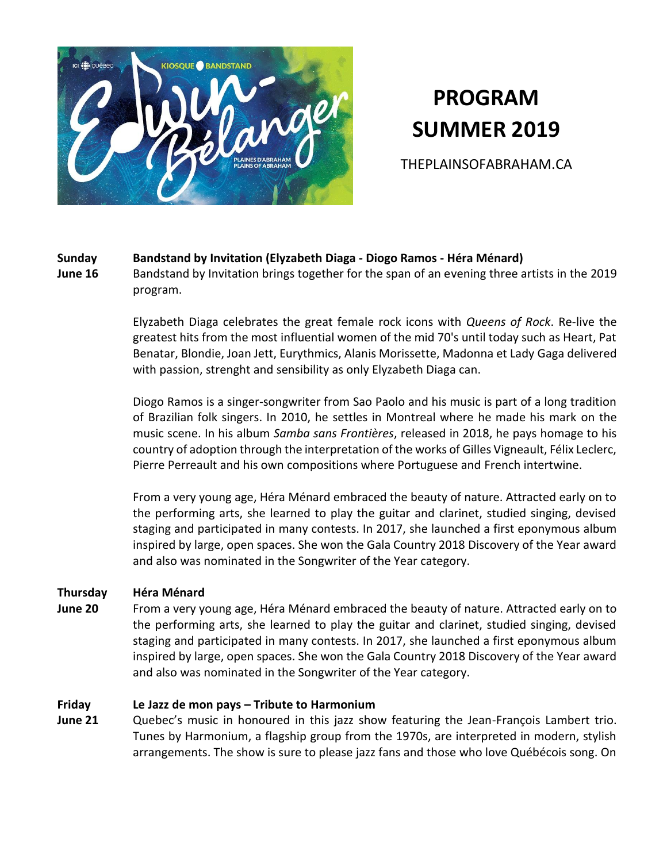

# **PROGRAM SUMMER 2019**

THEPLAINSOFABRAHAM.CA

# **Sunday Bandstand by Invitation (Elyzabeth Diaga - Diogo Ramos - Héra Ménard)**

**June 16**

Bandstand by Invitation brings together for the span of an evening three artists in the 2019 program.

Elyzabeth Diaga celebrates the great female rock icons with *Queens of Rock*. Re-live the greatest hits from the most influential women of the mid 70's until today such as Heart, Pat Benatar, Blondie, Joan Jett, Eurythmics, Alanis Morissette, Madonna et Lady Gaga delivered with passion, strenght and sensibility as only Elyzabeth Diaga can.

Diogo Ramos is a singer-songwriter from Sao Paolo and his music is part of a long tradition of Brazilian folk singers. In 2010, he settles in Montreal where he made his mark on the music scene. In his album *Samba sans Frontières*, released in 2018, he pays homage to his country of adoption through the interpretation of the works of Gilles Vigneault, Félix Leclerc, Pierre Perreault and his own compositions where Portuguese and French intertwine.

From a very young age, Héra Ménard embraced the beauty of nature. Attracted early on to the performing arts, she learned to play the guitar and clarinet, studied singing, devised staging and participated in many contests. In 2017, she launched a first eponymous album inspired by large, open spaces. She won the Gala Country 2018 Discovery of the Year award and also was nominated in the Songwriter of the Year category.

# **Thursday Héra Ménard**

**June 20** From a very young age, Héra Ménard embraced the beauty of nature. Attracted early on to the performing arts, she learned to play the guitar and clarinet, studied singing, devised staging and participated in many contests. In 2017, she launched a first eponymous album inspired by large, open spaces. She won the Gala Country 2018 Discovery of the Year award and also was nominated in the Songwriter of the Year category.

# **Friday Le Jazz de mon pays – Tribute to Harmonium**

**June 21** Quebec's music in honoured in this jazz show featuring the Jean-François Lambert trio. Tunes by Harmonium, a flagship group from the 1970s, are interpreted in modern, stylish arrangements. The show is sure to please jazz fans and those who love Québécois song. On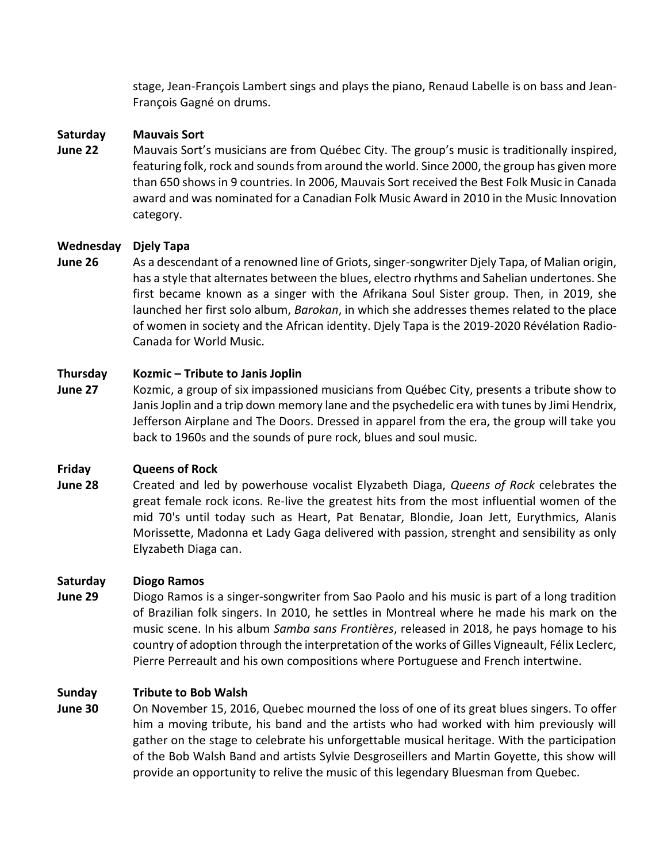stage, Jean-François Lambert sings and plays the piano, Renaud Labelle is on bass and Jean-François Gagné on drums.

## **Saturday Mauvais Sort**

**June 22** Mauvais Sort's musicians are from Québec City. The group's music is traditionally inspired, featuring folk, rock and sounds from around the world. Since 2000, the group has given more than 650 shows in 9 countries. In 2006, Mauvais Sort received the Best Folk Music in Canada award and was nominated for a Canadian Folk Music Award in 2010 in the Music Innovation category.

# **Wednesday Djely Tapa**

**June 26** As a descendant of a renowned line of Griots, singer-songwriter Djely Tapa, of Malian origin, has a style that alternates between the blues, electro rhythms and Sahelian undertones. She first became known as a singer with the Afrikana Soul Sister group. Then, in 2019, she launched her first solo album, *Barokan*, in which she addresses themes related to the place of women in society and the African identity. Djely Tapa is the 2019-2020 Révélation Radio-Canada for World Music.

# **Thursday Kozmic – Tribute to Janis Joplin**

**June 27** Kozmic, a group of six impassioned musicians from Québec City, presents a tribute show to Janis Joplin and a trip down memory lane and the psychedelic era with tunes by Jimi Hendrix, Jefferson Airplane and The Doors. Dressed in apparel from the era, the group will take you back to 1960s and the sounds of pure rock, blues and soul music.

# **Friday Queens of Rock**

**June 28** Created and led by powerhouse vocalist Elyzabeth Diaga, *Queens of Rock* celebrates the great female rock icons. Re-live the greatest hits from the most influential women of the mid 70's until today such as Heart, Pat Benatar, Blondie, Joan Jett, Eurythmics, Alanis Morissette, Madonna et Lady Gaga delivered with passion, strenght and sensibility as only Elyzabeth Diaga can.

### **Saturday Diogo Ramos**

**June 29** Diogo Ramos is a singer-songwriter from Sao Paolo and his music is part of a long tradition of Brazilian folk singers. In 2010, he settles in Montreal where he made his mark on the music scene. In his album *Samba sans Frontières*, released in 2018, he pays homage to his country of adoption through the interpretation of the works of Gilles Vigneault, Félix Leclerc, Pierre Perreault and his own compositions where Portuguese and French intertwine.

### **Sunday Tribute to Bob Walsh**

**June 30** On November 15, 2016, Quebec mourned the loss of one of its great blues singers. To offer him a moving tribute, his band and the artists who had worked with him previously will gather on the stage to celebrate his unforgettable musical heritage. With the participation of the Bob Walsh Band and artists Sylvie Desgroseillers and Martin Goyette, this show will provide an opportunity to relive the music of this legendary Bluesman from Quebec.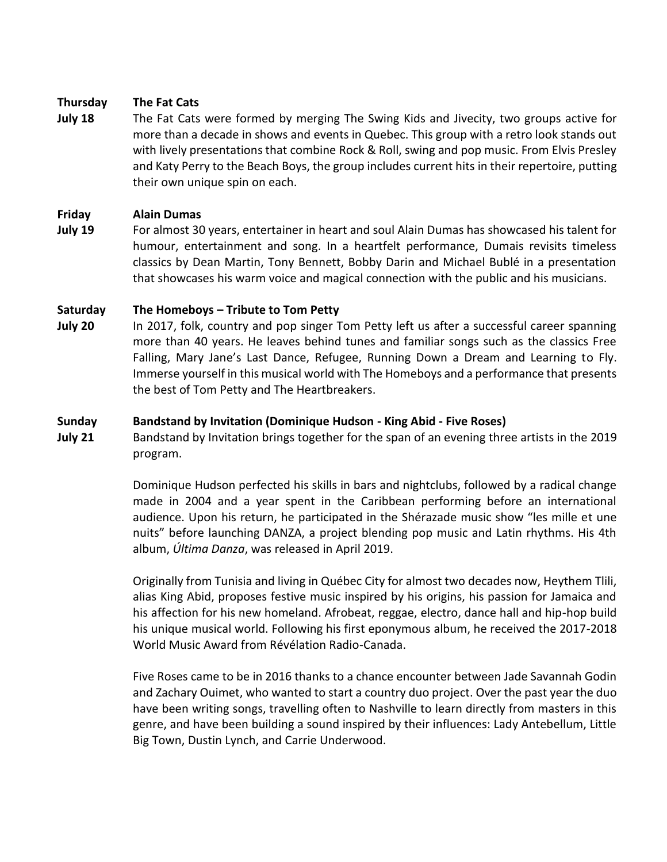#### **Thursday The Fat Cats**

**July 18** The Fat Cats were formed by merging The Swing Kids and Jivecity, two groups active for more than a decade in shows and events in Quebec. This group with a retro look stands out with lively presentations that combine Rock & Roll, swing and pop music. From Elvis Presley and Katy Perry to the Beach Boys, the group includes current hits in their repertoire, putting their own unique spin on each.

#### **Friday Alain Dumas**

**July 19** For almost 30 years, entertainer in heart and soul Alain Dumas has showcased his talent for humour, entertainment and song. In a heartfelt performance, Dumais revisits timeless classics by Dean Martin, Tony Bennett, Bobby Darin and Michael Bublé in a presentation that showcases his warm voice and magical connection with the public and his musicians.

#### **Saturday The Homeboys – Tribute to Tom Petty**

**July 20** In 2017, folk, country and pop singer Tom Petty left us after a successful career spanning more than 40 years. He leaves behind tunes and familiar songs such as the classics Free Falling, Mary Jane's Last Dance, Refugee, Running Down a Dream and Learning to Fly. Immerse yourself in this musical world with The Homeboys and a performance that presents the best of Tom Petty and The Heartbreakers.

#### **Sunday Bandstand by Invitation (Dominique Hudson - King Abid - Five Roses)**

**July 21** Bandstand by Invitation brings together for the span of an evening three artists in the 2019 program.

> Dominique Hudson perfected his skills in bars and nightclubs, followed by a radical change made in 2004 and a year spent in the Caribbean performing before an international audience. Upon his return, he participated in the Shérazade music show "les mille et une nuits" before launching DANZA, a project blending pop music and Latin rhythms. His 4th album, *Última Danza*, was released in April 2019.

> Originally from Tunisia and living in Québec City for almost two decades now, Heythem Tlili, alias King Abid, proposes festive music inspired by his origins, his passion for Jamaica and his affection for his new homeland. Afrobeat, reggae, electro, dance hall and hip-hop build his unique musical world. Following his first eponymous album, he received the 2017-2018 World Music Award from Révélation Radio-Canada.

> Five Roses came to be in 2016 thanks to a chance encounter between Jade Savannah Godin and Zachary Ouimet, who wanted to start a country duo project. Over the past year the duo have been writing songs, travelling often to Nashville to learn directly from masters in this genre, and have been building a sound inspired by their influences: Lady Antebellum, Little Big Town, Dustin Lynch, and Carrie Underwood.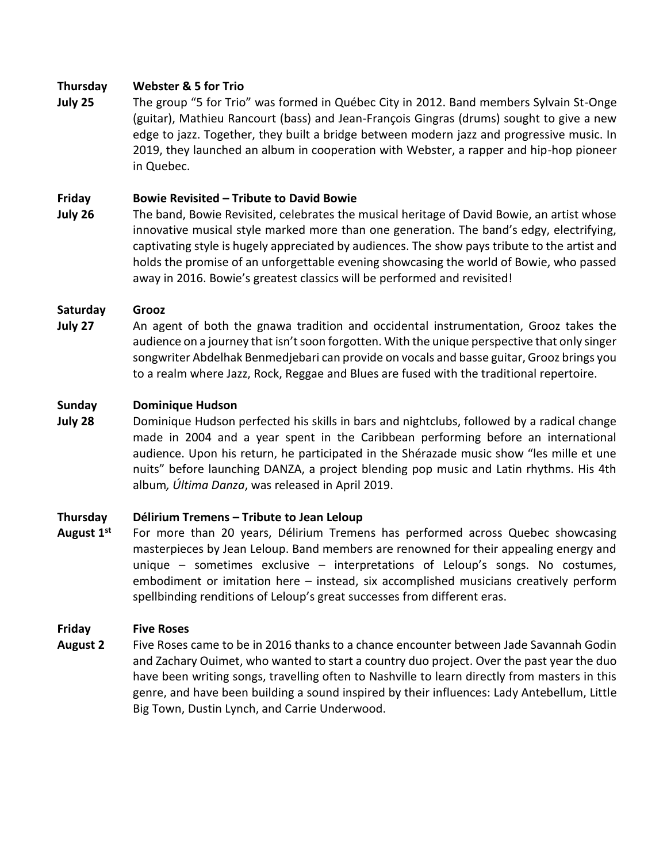# **Thursday Webster & 5 for Trio**

**July 25** The group "5 for Trio" was formed in Québec City in 2012. Band members Sylvain St-Onge (guitar), Mathieu Rancourt (bass) and Jean-François Gingras (drums) sought to give a new edge to jazz. Together, they built a bridge between modern jazz and progressive music. In 2019, they launched an album in cooperation with Webster, a rapper and hip-hop pioneer in Quebec.

# **Friday Bowie Revisited – Tribute to David Bowie**

**July 26** The band, Bowie Revisited, celebrates the musical heritage of David Bowie, an artist whose innovative musical style marked more than one generation. The band's edgy, electrifying, captivating style is hugely appreciated by audiences. The show pays tribute to the artist and holds the promise of an unforgettable evening showcasing the world of Bowie, who passed away in 2016. Bowie's greatest classics will be performed and revisited!

# **Saturday Grooz**

**July 27** An agent of both the gnawa tradition and occidental instrumentation, Grooz takes the audience on a journey that isn't soon forgotten. With the unique perspective that only singer songwriter Abdelhak Benmedjebari can provide on vocals and basse guitar, Grooz brings you to a realm where Jazz, Rock, Reggae and Blues are fused with the traditional repertoire.

### **Sunday Dominique Hudson**

**July 28** Dominique Hudson perfected his skills in bars and nightclubs, followed by a radical change made in 2004 and a year spent in the Caribbean performing before an international audience. Upon his return, he participated in the Shérazade music show "les mille et une nuits" before launching DANZA, a project blending pop music and Latin rhythms. His 4th album*, Última Danza*, was released in April 2019.

### **Thursday Délirium Tremens – Tribute to Jean Leloup**

**August 1st** For more than 20 years, Délirium Tremens has performed across Quebec showcasing masterpieces by Jean Leloup. Band members are renowned for their appealing energy and unique – sometimes exclusive – interpretations of Leloup's songs. No costumes, embodiment or imitation here – instead, six accomplished musicians creatively perform spellbinding renditions of Leloup's great successes from different eras.

### **Friday Five Roses**

**August 2** Five Roses came to be in 2016 thanks to a chance encounter between Jade Savannah Godin and Zachary Ouimet, who wanted to start a country duo project. Over the past year the duo have been writing songs, travelling often to Nashville to learn directly from masters in this genre, and have been building a sound inspired by their influences: Lady Antebellum, Little Big Town, Dustin Lynch, and Carrie Underwood.